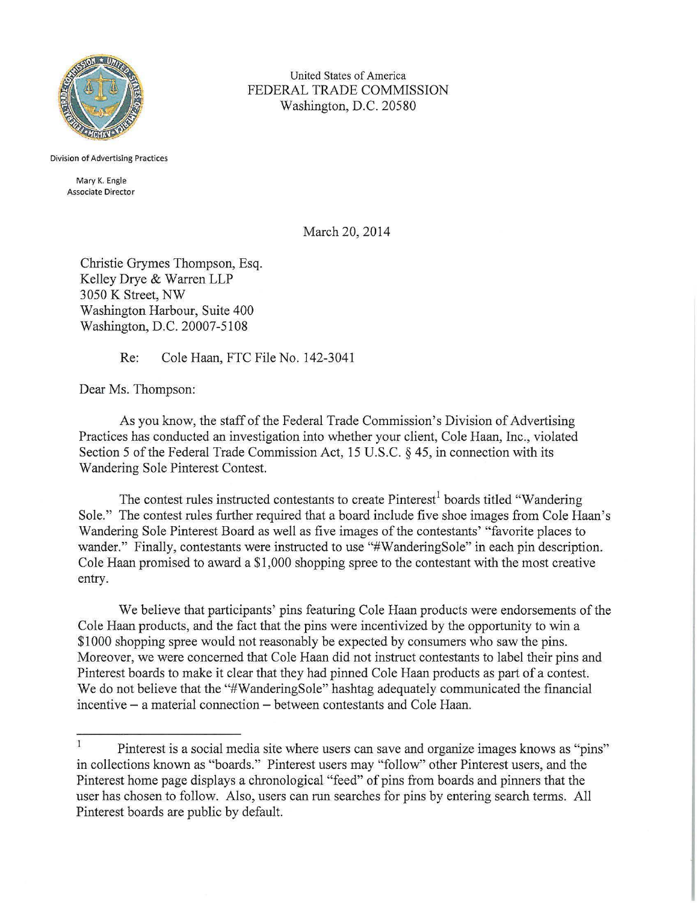

United States of America FEDERAL TRADE COMMISSION Washington, D.C. 20580

Division of Advertising Practices

Mary K. Engle Associate Director

March 20, 2014

Christie Grymes Thompson, Esq. Kelley Drye & Warren LLP 3050 K Street, NW Washington Harbour, Suite 400 Washington, D.C. 20007-5108

Re: Cole Haan, FTC File No. 142-3041

Dear Ms. Thompson:

As you know, the staff of the Federal Trade Commission's Division of Advertising Practices has conducted an investigation into whether your client, Cole Haan, Inc., violated Section 5 of the Federal Trade Commission Act, 15 U.S.C. § 45, in connection with its Wandering Sole Pinterest Contest.

The contest rules instructed contestants to create Pinterest<sup>1</sup> boards titled "Wandering" Sole." The contest rules further required that a board include five shoe images from Cole Haan's Wandering Sole Pinterest Board as well as five images of the contestants' "favorite places to wander." Finally, contestants were instructed to use "#WanderingSole" in each pin description. Cole Haan promised to award a \$1,000 shopping spree to the contestant with the most creative entry.

We believe that participants' pins featuring Cole Haan products were endorsements of the Cole Haan products, and the fact that the pins were incentivized by the opportunity to win a \$1000 shopping spree would not reasonably be expected by consumers who saw the pins. Moreover, we were concerned that Cole Haan did not instruct contestants to label their pins and Pinterest boards to make it clear that they had pinned Cole Haan products as part of a contest. We do not believe that the "#WanderingSole" hashtag adequately communicated the financial incentive – a material connection – between contestants and Cole Haan.

 $\mathbf{1}$ Pinterest is a social media site where users can save and organize images knows as "pins" in collections known as "boards." Pinterest users may "follow" other Pinterest users, and the Pinterest home page displays a chronological "feed" of pins from boards and pinners that the user has chosen to follow. Also, users can run searches for pins by entering search terms. All Pinterest boards are public by default.